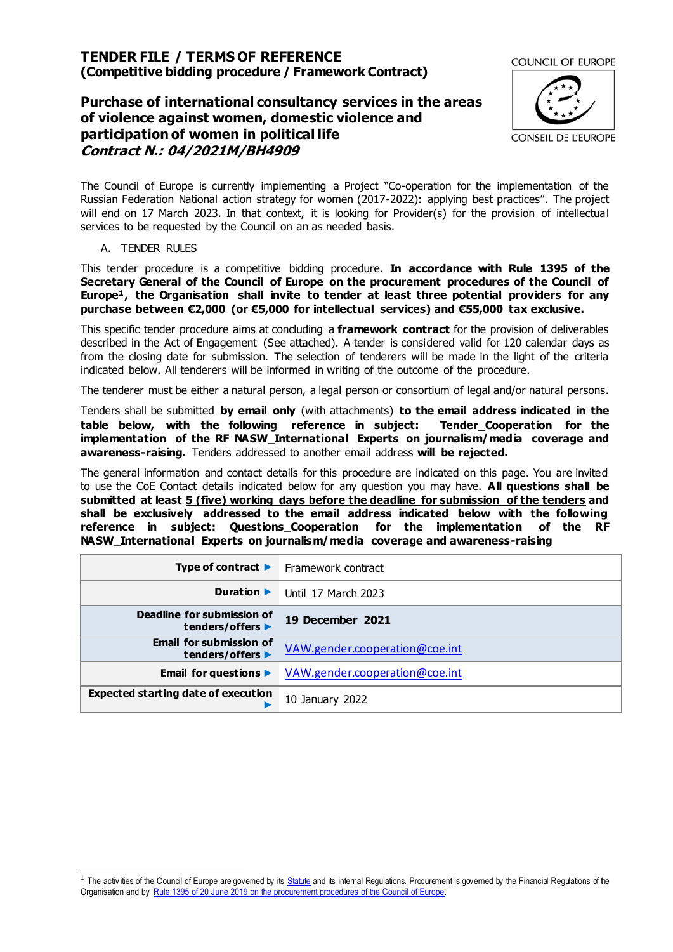# **TENDER FILE / TERMS OF REFERENCE (Competitive bidding procedure / Framework Contract)**

# **Purchase of international consultancy services in the areas of violence against women, domestic violence and participation of women in political life Contract N.: 04/2021M/BH4909**



The Council of Europe is currently implementing a Project "Co-operation for the implementation of the Russian Federation National action strategy for women (2017-2022): applying best practices". The project will end on 17 March 2023. In that context, it is looking for Provider(s) for the provision of intellectual services to be requested by the Council on an as needed basis.

### A. TENDER RULES

This tender procedure is a competitive bidding procedure. **In accordance with Rule 1395 of the Secretary General of the Council of Europe on the procurement procedures of the Council of Europe<sup>1</sup>, the Organisation shall invite to tender at least three potential providers for any purchase between €2,000 (or €5,000 for intellectual services) and €55,000 tax exclusive.**

This specific tender procedure aims at concluding a **framework contract** for the provision of deliverables described in the Act of Engagement (See attached). A tender is considered valid for 120 calendar days as from the closing date for submission. The selection of tenderers will be made in the light of the criteria indicated below. All tenderers will be informed in writing of the outcome of the procedure.

The tenderer must be either a natural person, a legal person or consortium of legal and/or natural persons.

Tenders shall be submitted **by email only** (with attachments) **to the email address indicated in the table below, with the following reference in subject: Tender\_Cooperation for the implementation of the RF NASW\_International Experts on journalism/media coverage and awareness-raising.** Tenders addressed to another email address **will be rejected.**

The general information and contact details for this procedure are indicated on this page. You are invited to use the CoE Contact details indicated below for any question you may have. **All questions shall be submitted at least 5 (five) working days before the deadline for submission of the tenders and shall be exclusively addressed to the email address indicated below with the following reference in subject: Questions\_Cooperation for the implementation of the RF NASW\_International Experts on journalism/media coverage and awareness-raising**

|                                                    | <b>Type of contract <math>\blacktriangleright</math></b> Framework contract |
|----------------------------------------------------|-----------------------------------------------------------------------------|
| Duration $\blacktriangleright$                     | Until 17 March 2023                                                         |
| Deadline for submission of<br>tenders/offers ▶     | 19 December 2021                                                            |
| <b>Email for submission of</b><br>tenders/offers ▶ | VAW.gender.cooperation@coe.int                                              |
| Email for questions $\blacktriangleright$          | VAW.gender.cooperation@coe.int                                              |
| <b>Expected starting date of execution</b>         | 10 January 2022                                                             |

The activities of the Council of Europe are govemed by its **Statute** and its internal Regulations. Procurement is governed by the Financial Regulations of the Organisation and by Rule 1395 of 20 June 2019 [on the procurement procedures of the Council of Eu](https://search.coe.int/intranet/Pages/result_details.aspx?ObjectId=090000168094853e)rope.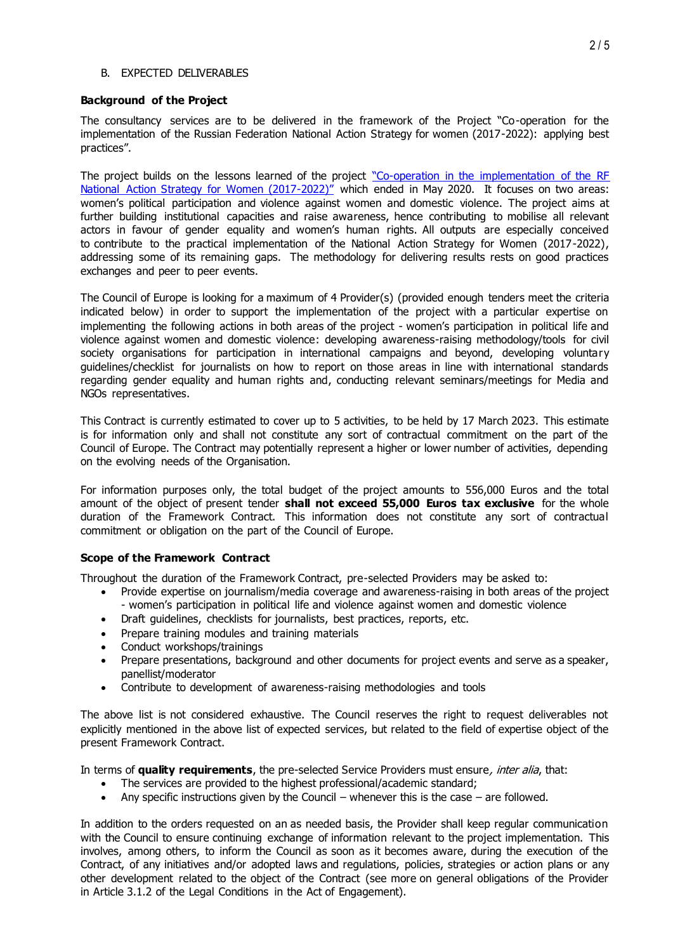#### B. EXPECTED DELIVERABLES

#### **Background of the Project**

The consultancy services are to be delivered in the framework of the Project "Co-operation for the implementation of the Russian Federation National Action Strategy for women (2017-2022): applying best practices".

The project builds on the lessons learned of the project "Co-operation in the implementation of the RF [National Action Strategy for Women \(2017-](https://www.coe.int/en/web/genderequality/russian-federation-national-action-strategy-for-women-2017-2022-)2022)" which ended in May 2020. It focuses on two areas: women's political participation and violence against women and domestic violence. The project aims at further building institutional capacities and raise awareness, hence contributing to mobilise all relevant actors in favour of gender equality and women's human rights. All outputs are especially conceived to contribute to the practical implementation of the National Action Strategy for Women (2017-2022), addressing some of its remaining gaps. The methodology for delivering results rests on good practices exchanges and peer to peer events.

The Council of Europe is looking for a maximum of 4 Provider(s) (provided enough tenders meet the criteria indicated below) in order to support the implementation of the project with a particular expertise on implementing the following actions in both areas of the project - women's participation in political life and violence against women and domestic violence: developing awareness-raising methodology/tools for civil society organisations for participation in international campaigns and beyond, developing voluntary guidelines/checklist for journalists on how to report on those areas in line with international standards regarding gender equality and human rights and, conducting relevant seminars/meetings for Media and NGOs representatives.

This Contract is currently estimated to cover up to 5 activities, to be held by 17 March 2023. This estimate is for information only and shall not constitute any sort of contractual commitment on the part of the Council of Europe. The Contract may potentially represent a higher or lower number of activities, depending on the evolving needs of the Organisation.

For information purposes only, the total budget of the project amounts to 556,000 Euros and the total amount of the object of present tender **shall not exceed 55,000 Euros tax exclusive** for the whole duration of the Framework Contract. This information does not constitute any sort of contractual commitment or obligation on the part of the Council of Europe.

#### **Scope of the Framework Contract**

Throughout the duration of the Framework Contract, pre-selected Providers may be asked to:

- Provide expertise on journalism/media coverage and awareness-raising in both areas of the project - women's participation in political life and violence against women and domestic violence
- Draft guidelines, checklists for journalists, best practices, reports, etc.
- Prepare training modules and training materials
- Conduct workshops/trainings
- Prepare presentations, background and other documents for project events and serve as a speaker, panellist/moderator
- Contribute to development of awareness-raising methodologies and tools

The above list is not considered exhaustive. The Council reserves the right to request deliverables not explicitly mentioned in the above list of expected services, but related to the field of expertise object of the present Framework Contract.

In terms of **quality requirements**, the pre-selected Service Providers must ensure, inter alia, that:

- The services are provided to the highest professional/academic standard;
- Any specific instructions given by the Council whenever this is the case are followed.

In addition to the orders requested on an as needed basis, the Provider shall keep regular communication with the Council to ensure continuing exchange of information relevant to the project implementation. This involves, among others, to inform the Council as soon as it becomes aware, during the execution of the Contract, of any initiatives and/or adopted laws and regulations, policies, strategies or action plans or any other development related to the object of the Contract (see more on general obligations of the Provider in Article 3.1.2 of the Legal Conditions in the Act of Engagement).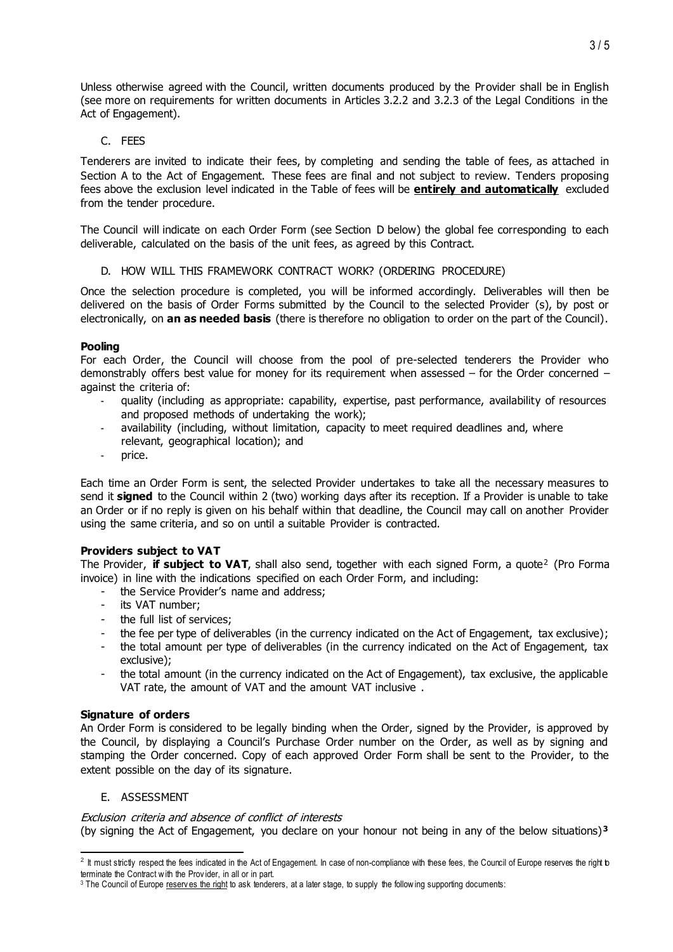Unless otherwise agreed with the Council, written documents produced by the Provider shall be in English (see more on requirements for written documents in Articles 3.2.2 and 3.2.3 of the Legal Conditions in the Act of Engagement).

# C. FEES

Tenderers are invited to indicate their fees, by completing and sending the table of fees, as attached in Section A to the Act of Engagement. These fees are final and not subject to review. Tenders proposing fees above the exclusion level indicated in the Table of fees will be **entirely and automatically** excluded from the tender procedure.

The Council will indicate on each Order Form (see Section [D](#page-2-0) below) the global fee corresponding to each deliverable, calculated on the basis of the unit fees, as agreed by this Contract.

D. HOW WILL THIS FRAMEWORK CONTRACT WORK? (ORDERING PROCEDURE)

<span id="page-2-0"></span>Once the selection procedure is completed, you will be informed accordingly. Deliverables will then be delivered on the basis of Order Forms submitted by the Council to the selected Provider (s), by post or electronically, on **an as needed basis** (there is therefore no obligation to order on the part of the Council).

# **Pooling**

For each Order, the Council will choose from the pool of pre-selected tenderers the Provider who demonstrably offers best value for money for its requirement when assessed – for the Order concerned – against the criteria of:

- quality (including as appropriate: capability, expertise, past performance, availability of resources and proposed methods of undertaking the work);
- availability (including, without limitation, capacity to meet required deadlines and, where relevant, geographical location); and
- price.

Each time an Order Form is sent, the selected Provider undertakes to take all the necessary measures to send it **signed** to the Council within 2 (two) working days after its reception. If a Provider is unable to take an Order or if no reply is given on his behalf within that deadline, the Council may call on another Provider using the same criteria, and so on until a suitable Provider is contracted.

# **Providers subject to VAT**

The Provider, i**f subject to VAT**, shall also send, together with each signed Form, a quote<sup>2</sup> (Pro Forma invoice) in line with the indications specified on each Order Form, and including:

- the Service Provider's name and address;
- its VAT number;
- the full list of services;
- the fee per type of deliverables (in the currency indicated on the Act of Engagement, tax exclusive);
- the total amount per type of deliverables (in the currency indicated on the Act of Engagement, tax exclusive);
- the total amount (in the currency indicated on the Act of Engagement), tax exclusive, the applicable VAT rate, the amount of VAT and the amount VAT inclusive .

# **Signature of orders**

An Order Form is considered to be legally binding when the Order, signed by the Provider, is approved by the Council, by displaying a Council's Purchase Order number on the Order, as well as by signing and stamping the Order concerned. Copy of each approved Order Form shall be sent to the Provider, to the extent possible on the day of its signature.

# E. ASSESSMENT

# Exclusion criteria and absence of conflict of interests

(by signing the Act of Engagement, you declare on your honour not being in any of the below situations)**<sup>3</sup>**

 2 It must strictly respect the fees indicated in the Act of Engagement. In case of non-compliance with these fees, the Council of Europe reserves the right to terminate the Contract w ith the Prov ider, in all or in part.

<sup>&</sup>lt;sup>3</sup> The Council of Europe reserves the right to ask tenderers, at a later stage, to supply the following supporting documents: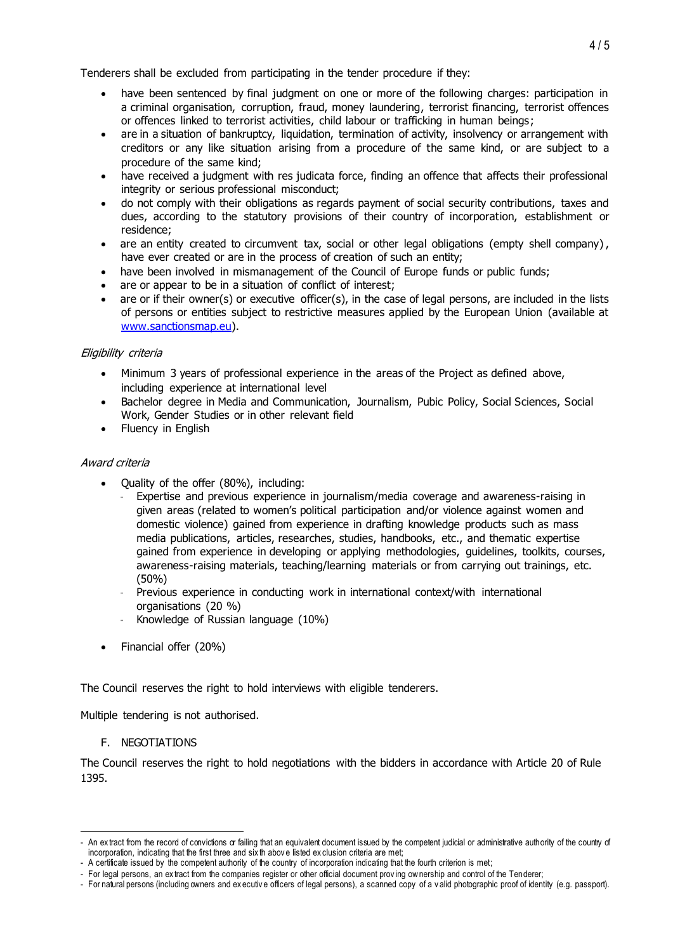Tenderers shall be excluded from participating in the tender procedure if they:

- have been sentenced by final judgment on one or more of the following charges: participation in a criminal organisation, corruption, fraud, money laundering, terrorist financing, terrorist offences or offences linked to terrorist activities, child labour or trafficking in human beings;
- are in a situation of bankruptcy, liquidation, termination of activity, insolvency or arrangement with creditors or any like situation arising from a procedure of the same kind, or are subject to a procedure of the same kind;
- have received a judgment with res judicata force, finding an offence that affects their professional integrity or serious professional misconduct;
- do not comply with their obligations as regards payment of social security contributions, taxes and dues, according to the statutory provisions of their country of incorporation, establishment or residence;
- are an entity created to circumvent tax, social or other legal obligations (empty shell company), have ever created or are in the process of creation of such an entity;
- have been involved in mismanagement of the Council of Europe funds or public funds;
- are or appear to be in a situation of conflict of interest;
- are or if their owner(s) or executive officer(s), in the case of legal persons, are included in the lists of persons or entities subject to restrictive measures applied by the European Union (available at [www.sanctionsmap.eu\)](http://www.sanctionsmap.eu/).

# Eligibility criteria

- Minimum 3 years of professional experience in the areas of the Project as defined above, including experience at international level
- Bachelor degree in Media and Communication, Journalism, Pubic Policy, Social Sciences, Social Work, Gender Studies or in other relevant field
- Fluency in English

# Award criteria

- Quality of the offer (80%), including:
	- Expertise and previous experience in journalism/media coverage and awareness-raising in given areas (related to women's political participation and/or violence against women and domestic violence) gained from experience in drafting knowledge products such as mass media publications, articles, researches, studies, handbooks, etc., and thematic expertise gained from experience in developing or applying methodologies, guidelines, toolkits, courses, awareness-raising materials, teaching/learning materials or from carrying out trainings, etc. (50%)
	- Previous experience in conducting work in international context/with international organisations (20 %)
	- Knowledge of Russian language (10%)
- Financial offer (20%)

The Council reserves the right to hold interviews with eligible tenderers.

Multiple tendering is not authorised.

F. NEGOTIATIONS

 $\overline{a}$ 

The Council reserves the right to hold negotiations with the bidders in accordance with Article 20 of Rule 1395.

<sup>-</sup> An extract from the record of convictions or failing that an equivalent document issued by the competent judicial or administrative authority of the country of incorporation, indicating that the first three and six th abov e listed ex clusion criteria are met;

<sup>-</sup> A certificate issued by the competent authority of the country of incorporation indicating that the fourth criterion is met;

<sup>-</sup> For legal persons, an ex tract from the companies register or other official document prov ing ow nership and control of the Tenderer;

<sup>-</sup> For natural persons (including owners and ex ecutiv e officers of legal persons), a scanned copy of a v alid photographic proof of identity (e.g. passport).